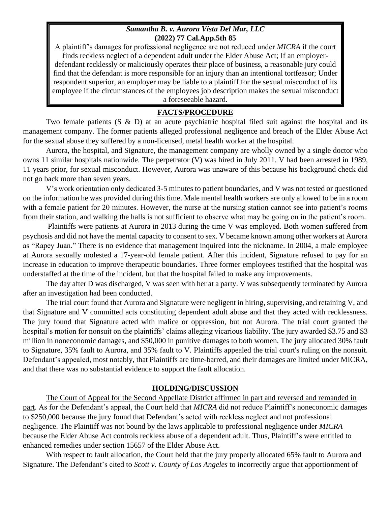## *Samantha B. v. Aurora Vista Del Mar, LLC* **(2022) 77 Cal.App.5th 85**

A plaintiff's damages for professional negligence are not reduced under *MICRA* if the court finds reckless neglect of a dependent adult under the Elder Abuse Act; If an employerdefendant recklessly or maliciously operates their place of business, a reasonable jury could find that the defendant is more responsible for an injury than an intentional tortfeasor; Under respondent superior, an employer may be liable to a plaintiff for the sexual misconduct of its employee if the circumstances of the employees job description makes the sexual misconduct a foreseeable hazard.

## **FACTS/PROCEDURE**

Two female patients  $(S \& D)$  at an acute psychiatric hospital filed suit against the hospital and its management company. The former patients alleged professional negligence and breach of the Elder Abuse Act for the sexual abuse they suffered by a non-licensed, metal health worker at the hospital.

Aurora, the hospital, and Signature, the management company are wholly owned by a single doctor who owns 11 similar hospitals nationwide. The perpetrator (V) was hired in July 2011. V had been arrested in 1989, 11 years prior, for sexual misconduct. However, Aurora was unaware of this because his background check did not go back more than seven years.

V's work orientation only dedicated 3-5 minutes to patient boundaries, and V was not tested or questioned on the information he was provided during this time. Male mental health workers are only allowed to be in a room with a female patient for 20 minutes. However, the nurse at the nursing station cannot see into patient's rooms from their station, and walking the halls is not sufficient to observe what may be going on in the patient's room.

Plaintiffs were patients at Aurora in 2013 during the time V was employed. Both women suffered from psychosis and did not have the mental capacity to consent to sex. V became known among other workers at Aurora as "Rapey Juan." There is no evidence that management inquired into the nickname. In 2004, a male employee at Aurora sexually molested a 17-year-old female patient. After this incident, Signature refused to pay for an increase in education to improve therapeutic boundaries. Three former employees testified that the hospital was understaffed at the time of the incident, but that the hospital failed to make any improvements.

The day after D was discharged, V was seen with her at a party. V was subsequently terminated by Aurora after an investigation had been conducted.

The trial court found that Aurora and Signature were negligent in hiring, supervising, and retaining V, and that Signature and V committed acts constituting dependent adult abuse and that they acted with recklessness. The jury found that Signature acted with malice or oppression, but not Aurora. The trial court granted the hospital's motion for nonsuit on the plaintiffs' claims alleging vicarious liability. The jury awarded \$3.75 and \$3 million in noneconomic damages, and \$50,000 in punitive damages to both women. The jury allocated 30% fault to Signature, 35% fault to Aurora, and 35% fault to V. Plaintiffs appealed the trial court's ruling on the nonsuit. Defendant's appealed, most notably, that Plaintiffs are time-barred, and their damages are limited under MICRA, and that there was no substantial evidence to support the fault allocation.

## **HOLDING/DISCUSSION**

The Court of Appeal for the Second Appellate District affirmed in part and reversed and remanded in part. As for the Defendant's appeal, the Court held that *MICRA* did not reduce Plaintiff's noneconomic damages to \$250,000 because the jury found that Defendant's acted with reckless neglect and not professional negligence. The Plaintiff was not bound by the laws applicable to professional negligence under *MICRA* because the Elder Abuse Act controls reckless abuse of a dependent adult. Thus, Plaintiff's were entitled to enhanced remedies under section 15657 of the Elder Abuse Act.

With respect to fault allocation, the Court held that the jury properly allocated 65% fault to Aurora and Signature. The Defendant's cited to *Scott v. County of Los Angeles* to incorrectly argue that apportionment of